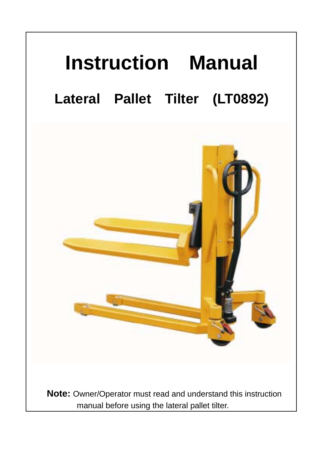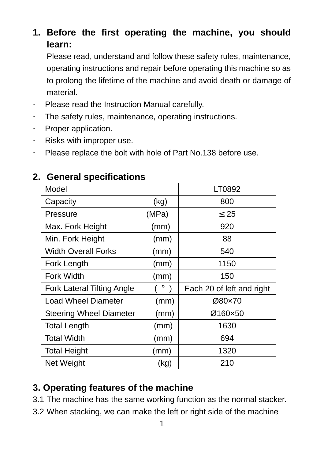#### **1. Before the first operating the machine, you should learn:**

Please read, understand and follow these safety rules, maintenance, operating instructions and repair before operating this machine so as to prolong the lifetime of the machine and avoid death or damage of material.

- · Please read the Instruction Manual carefully.
- The safety rules, maintenance, operating instructions.
- · Proper application.
- Risks with improper use.
- · Please replace the bolt with hole of Part No.138 before use.

| Model                          |           | LT0892                    |
|--------------------------------|-----------|---------------------------|
| Capacity                       | (kg)      | 800                       |
| Pressure                       | (MPa)     | 25                        |
| Max. Fork Height               | (mm)      | 920                       |
| Min. Fork Height               | (mm)      | 88                        |
| <b>Width Overall Forks</b>     | (mm)      | 540                       |
| Fork Length                    | (mm)      | 1150                      |
| <b>Fork Width</b>              | (mm)      | 150                       |
| Fork Lateral Tilting Angle     | $\circ$ ) | Each 20 of left and right |
| Load Wheel Diameter            | (mm)      | Ø80×70                    |
| <b>Steering Wheel Diameter</b> | (mm)      | Ø160×50                   |
| <b>Total Length</b>            | (mm)      | 1630                      |
| <b>Total Width</b>             | (mm)      | 694                       |
| <b>Total Height</b>            | (mm)      | 1320                      |
| Net Weight                     | (kg)      | 210                       |

### **2. General specifications**

#### **3. Operating features of the machine**

3.1 The machine has the same working function as the normal stacker.

3.2 When stacking, we can make the left or right side of the machine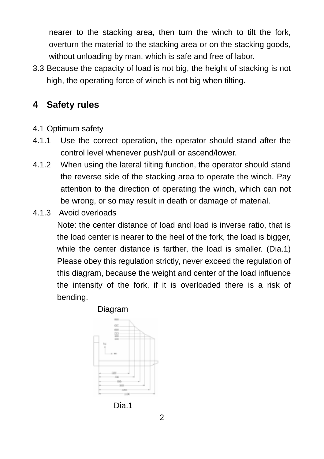nearer to the stacking area, then turn the winch to tilt the fork, overturn the material to the stacking area or on the stacking goods, without unloading by man, which is safe and free of labor.

3.3 Because the capacity of load is not big, the height of stacking is not high, the operating force of winch is not big when tilting.

#### **4 Safety rules**

#### 4.1 Optimum safety

- 4.1.1 Use the correct operation, the operator should stand after the control level whenever push/pull or ascend/lower.
- 4.1.2 When using the lateral tilting function, the operator should stand the reverse side of the stacking area to operate the winch. Pay attention to the direction of operating the winch, which can not be wrong, or so may result in death or damage of material.
- 4.1.3 Avoid overloads

 Note: the center distance of load and load is inverse ratio, that is the load center is nearer to the heel of the fork, the load is bigger, while the center distance is farther, the load is smaller. (Dia.1) Please obey this regulation strictly, never exceed the regulation of this diagram, because the weight and center of the load influence the intensity of the fork, if it is overloaded there is a risk of bending.

Diagram



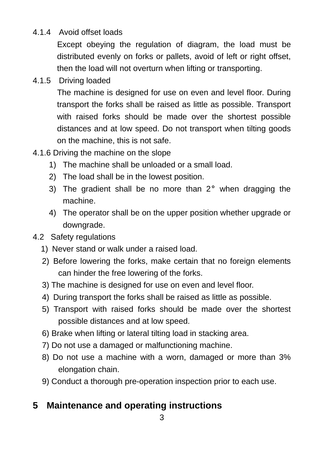#### 4.1.4 Avoid offset loads

 Except obeying the regulation of diagram, the load must be distributed evenly on forks or pallets, avoid of left or right offset, then the load will not overturn when lifting or transporting.

4.1.5 Driving loaded

 The machine is designed for use on even and level floor. During transport the forks shall be raised as little as possible. Transport with raised forks should be made over the shortest possible distances and at low speed. Do not transport when tilting goods on the machine, this is not safe.

- 4.1.6 Driving the machine on the slope
	- 1) The machine shall be unloaded or a small load.
	- 2) The load shall be in the lowest position.
	- 3) The gradient shall be no more than  $2^\circ$  when dragging the machine.
	- 4) The operator shall be on the upper position whether upgrade or downgrade.
- 4.2 Safety regulations
	- 1) Never stand or walk under a raised load.
	- 2) Before lowering the forks, make certain that no foreign elements can hinder the free lowering of the forks.
	- 3) The machine is designed for use on even and level floor.
	- 4) During transport the forks shall be raised as little as possible.
	- 5) Transport with raised forks should be made over the shortest possible distances and at low speed.
	- 6) Brake when lifting or lateral tilting load in stacking area.
	- 7) Do not use a damaged or malfunctioning machine.
	- 8) Do not use a machine with a worn, damaged or more than 3% elongation chain.
	- 9) Conduct a thorough pre-operation inspection prior to each use.

#### **5 Maintenance and operating instructions**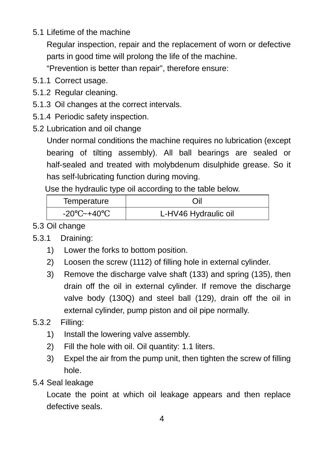#### 5.1 Lifetime of the machine

Regular inspection, repair and the replacement of worn or defective parts in good time will prolong the life of the machine.

"Prevention is better than repair", therefore ensure:

- 5.1.1 Correct usage.
- 5.1.2 Regular cleaning.
- 5.1.3 Oil changes at the correct intervals.
- 5.1.4 Periodic safety inspection.
- 5.2 Lubrication and oil change

Under normal conditions the machine requires no lubrication (except bearing of tilting assembly). All ball bearings are sealed or half-sealed and treated with molybdenum disulphide grease. So it has self-lubricating function during moving.

Use the hydraulic type oil according to the table below.

| Temperature   | Oil                  |
|---------------|----------------------|
| $-20$<br>-+40 | L-HV46 Hydraulic oil |

- 5.3 Oil change
- 5.3.1 Draining:
	- 1) Lower the forks to bottom position.
	- 2) Loosen the screw (1112) of filling hole in external cylinder.
	- 3) Remove the discharge valve shaft (133) and spring (135), then drain off the oil in external cylinder. If remove the discharge valve body (130Q) and steel ball (129), drain off the oil in external cylinder, pump piston and oil pipe normally.
- 5.3.2 Filling:
	- 1) Install the lowering valve assembly.
	- 2) Fill the hole with oil. Oil quantity: 1.1 liters.
	- 3) Expel the air from the pump unit, then tighten the screw of filling hole.
- 5.4 Seal leakage

Locate the point at which oil leakage appears and then replace defective seals.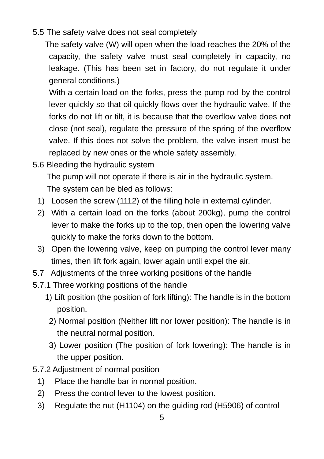5.5 The safety valve does not seal completely

 The safety valve (W) will open when the load reaches the 20% of the capacity, the safety valve must seal completely in capacity, no leakage. (This has been set in factory, do not regulate it under general conditions.)

 With a certain load on the forks, press the pump rod by the control lever quickly so that oil quickly flows over the hydraulic valve. If the forks do not lift or tilt, it is because that the overflow valve does not close (not seal), regulate the pressure of the spring of the overflow valve. If this does not solve the problem, the valve insert must be replaced by new ones or the whole safety assembly.

5.6 Bleeding the hydraulic system

The pump will not operate if there is air in the hydraulic system. The system can be bled as follows:

- 1) Loosen the screw (1112) of the filling hole in external cylinder.
- 2) With a certain load on the forks (about 200kg), pump the control lever to make the forks up to the top, then open the lowering valve quickly to make the forks down to the bottom.
- 3) Open the lowering valve, keep on pumping the control lever many times, then lift fork again, lower again until expel the air.
- 5.7 Adjustments of the three working positions of the handle
- 5.7.1 Three working positions of the handle
	- 1) Lift position (the position of fork lifting): The handle is in the bottom position.
		- 2) Normal position (Neither lift nor lower position): The handle is in the neutral normal position.
		- 3) Lower position (The position of fork lowering): The handle is in the upper position.
- 5.7.2 Adjustment of normal position
	- 1) Place the handle bar in normal position.
	- 2) Press the control lever to the lowest position.
	- 3) Regulate the nut (H1104) on the guiding rod (H5906) of control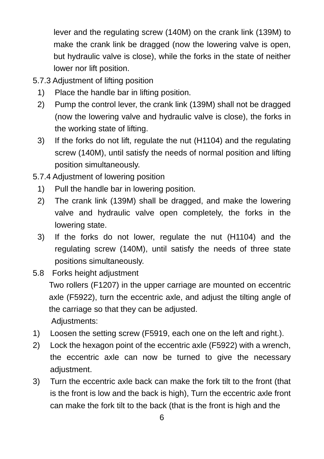lever and the regulating screw (140M) on the crank link (139M) to make the crank link be dragged (now the lowering valve is open, but hydraulic valve is close), while the forks in the state of neither lower nor lift position.

5.7.3 Adjustment of lifting position

- 1) Place the handle bar in lifting position.
- 2) Pump the control lever, the crank link (139M) shall not be dragged (now the lowering valve and hydraulic valve is close), the forks in the working state of lifting.
- 3) If the forks do not lift, regulate the nut (H1104) and the regulating screw (140M), until satisfy the needs of normal position and lifting position simultaneously.

5.7.4 Adjustment of lowering position

- 1) Pull the handle bar in lowering position.
- 2) The crank link (139M) shall be dragged, and make the lowering valve and hydraulic valve open completely, the forks in the lowering state.
- 3) If the forks do not lower, regulate the nut (H1104) and the regulating screw (140M), until satisfy the needs of three state positions simultaneously.

5.8 Forks height adjustment

 Two rollers (F1207) in the upper carriage are mounted on eccentric axle (F5922), turn the eccentric axle, and adjust the tilting angle of the carriage so that they can be adjusted. Adjustments:

- 1) Loosen the setting screw (F5919, each one on the left and right.).
- 2) Lock the hexagon point of the eccentric axle (F5922) with a wrench, the eccentric axle can now be turned to give the necessary adiustment.
- 3) Turn the eccentric axle back can make the fork tilt to the front (that is the front is low and the back is high), Turn the eccentric axle front can make the fork tilt to the back (that is the front is high and the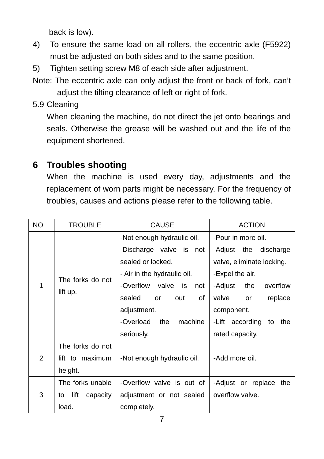back is low).

- 4) To ensure the same load on all rollers, the eccentric axle (F5922) must be adjusted on both sides and to the same position.
- 5) Tighten setting screw M8 of each side after adjustment.
- Note: The eccentric axle can only adjust the front or back of fork, can't adjust the tilting clearance of left or right of fork.
- 5.9 Cleaning

When cleaning the machine, do not direct the jet onto bearings and seals. Otherwise the grease will be washed out and the life of the equipment shortened.

#### **6 Troubles shooting**

When the machine is used every day, adjustments and the replacement of worn parts might be necessary. For the frequency of troubles, causes and actions please refer to the following table.

| NO. | TROUBLE                     | <b>CAUSE</b>                 | <b>ACTION</b>              |  |
|-----|-----------------------------|------------------------------|----------------------------|--|
|     |                             | -Not enough hydraulic oil.   | -Pour in more oil.         |  |
|     |                             | -Discharge valve is not      | -Adjust the discharge      |  |
|     |                             | sealed or locked.            | valve, eliminate locking.  |  |
|     | The forks do not            | - Air in the hydraulic oil.  | -Expel the air.            |  |
| 1   |                             | -Overflow valve is<br>not    | -Adjust<br>overflow<br>the |  |
|     | lift up.                    | sealed<br>of<br>or<br>out    | valve<br>replace<br>or     |  |
|     |                             | adjustment.                  | component.                 |  |
|     | machine<br>-Overload<br>the | -Lift according<br>the<br>to |                            |  |
|     | seriously.                  | rated capacity.              |                            |  |
|     | The forks do not            |                              |                            |  |
| 2   | lift to maximum             | -Not enough hydraulic oil.   | -Add more oil.             |  |
|     | height.                     |                              |                            |  |
|     | The forks unable            | -Overflow valve is out of    | -Adjust or replace<br>the  |  |
| 3   | lift<br>capacity<br>to      | adjustment or not sealed     | overflow valve.            |  |
|     | load.                       | completely.                  |                            |  |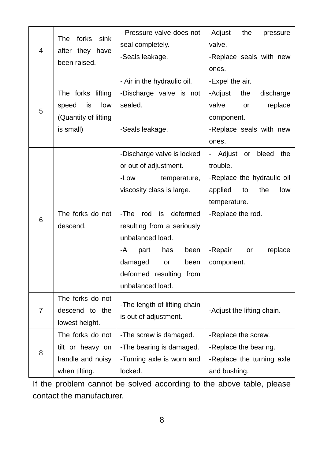|                                   |                               | - Pressure valve does not    | -Adjust<br>the<br>pressure                     |  |
|-----------------------------------|-------------------------------|------------------------------|------------------------------------------------|--|
| 4                                 | The<br>forks<br>sink          | seal completely.             | valve.                                         |  |
|                                   | after they have               | -Seals leakage.              | -Replace seals with new                        |  |
|                                   | been raised.                  |                              | ones.                                          |  |
|                                   |                               | - Air in the hydraulic oil.  | -Expel the air.                                |  |
|                                   | The forks lifting             | -Discharge valve is not      | -Adjust<br>discharge<br>the                    |  |
|                                   | low<br>speed<br>is            | sealed.                      | valve<br>replace<br>or                         |  |
| 5                                 | (Quantity of lifting          |                              | component.                                     |  |
|                                   | is small)                     | -Seals leakage.              | -Replace seals with new                        |  |
|                                   |                               |                              | ones.                                          |  |
|                                   |                               | -Discharge valve is locked   | Adjust<br>bleed<br>the<br>$\blacksquare$<br>or |  |
|                                   | or out of adjustment.         | trouble.                     |                                                |  |
|                                   |                               | -Low<br>temperature,         | -Replace the hydraulic oil                     |  |
|                                   |                               | viscosity class is large.    | applied<br>the<br>to<br>low                    |  |
|                                   |                               |                              | temperature.                                   |  |
| The forks do not<br>6<br>descend. | -The<br>rod<br>deformed<br>is | -Replace the rod.            |                                                |  |
|                                   |                               | resulting from a seriously   |                                                |  |
|                                   |                               | unbalanced load.             |                                                |  |
|                                   |                               | -A<br>part<br>has<br>been    | -Repair<br>replace<br>or                       |  |
|                                   |                               | damaged<br>been<br>or        | component.                                     |  |
|                                   |                               | deformed resulting from      |                                                |  |
|                                   |                               | unbalanced load.             |                                                |  |
|                                   | The forks do not              | -The length of lifting chain |                                                |  |
| $\overline{7}$                    | descend to the                | is out of adjustment.        | -Adjust the lifting chain.                     |  |
|                                   | lowest height.                |                              |                                                |  |
|                                   | The forks do not              | -The screw is damaged.       | -Replace the screw.                            |  |
| 8                                 | tilt or heavy on              | -The bearing is damaged.     | -Replace the bearing.                          |  |
|                                   | handle and noisy              | -Turning axle is worn and    | -Replace the turning axle                      |  |
|                                   | when tilting.                 | locked.                      | and bushing.                                   |  |

If the problem cannot be solved according to the above table, please contact the manufacturer.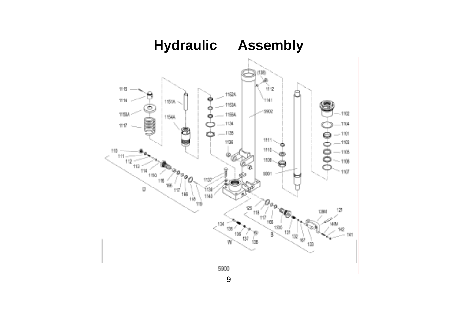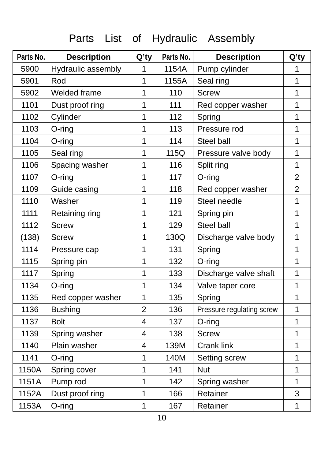# Parts List of Hydraulic Assembly

| Parts No. | <b>Description</b> | Q'ty                    | Parts No. | <b>Description</b>        | Q'ty           |
|-----------|--------------------|-------------------------|-----------|---------------------------|----------------|
| 5900      | Hydraulic assembly | 1                       | 1154A     | Pump cylinder             | 1              |
| 5901      | Rod                | 1                       | 1155A     | Seal ring                 | $\overline{1}$ |
| 5902      | Welded frame       | 1                       | 110       | <b>Screw</b>              | 1              |
| 1101      | Dust proof ring    | 1                       | 111       | Red copper washer         | 1              |
| 1102      | Cylinder           | 1                       | 112       | Spring                    | $\overline{1}$ |
| 1103      | $O$ -ring          | 1                       | 113       | Pressure rod              | $\mathbf 1$    |
| 1104      | $O$ -ring          | 1                       | 114       | Steel ball                | $\overline{1}$ |
| 1105      | Seal ring          | 1                       | 115Q      | Pressure valve body       | $\overline{1}$ |
| 1106      | Spacing washer     | $\overline{1}$          | 116       | Split ring                | $\overline{1}$ |
| 1107      | $O$ -ring          | 1                       | 117       | $O$ -ring                 | $\overline{2}$ |
| 1109      | Guide casing       | 1                       | 118       | Red copper washer         | $\overline{2}$ |
| 1110      | Washer             | 1                       | 119       | Steel needle              | 1              |
| 1111      | Retaining ring     | 1                       | 121       | Spring pin                | $\overline{1}$ |
| 1112      | <b>Screw</b>       | 1                       | 129       | Steel ball                | 1              |
| (138)     | <b>Screw</b>       | 1                       | 130Q      | Discharge valve body      | 1              |
| 1114      | Pressure cap       | 1                       | 131       | Spring                    | 1              |
| 1115      | Spring pin         | 1                       | 132       | $O$ -ring                 | $\overline{1}$ |
| 1117      | Spring             | $\overline{1}$          | 133       | Discharge valve shaft     | 1              |
| 1134      | $O$ -ring          | $\overline{1}$          | 134       | Valve taper core          | $\overline{1}$ |
| 1135      | Red copper washer  | 1                       | 135       | Spring                    | $\overline{1}$ |
| 1136      | <b>Bushing</b>     | $\overline{2}$          | 136       | Pressure regulating screw | $\overline{1}$ |
| 1137      | <b>Bolt</b>        | $\overline{\mathbf{4}}$ | 137       | $O$ -ring                 | $\mathbf 1$    |
| 1139      | Spring washer      | 4                       | 138       | <b>Screw</b>              | $\overline{1}$ |
| 1140      | Plain washer       | 4                       | 139M      | Crank link                | 1              |
| 1141      | O-ring             | $\overline{1}$          | 140M      | Setting screw             | $\overline{1}$ |
| 1150A     | Spring cover       | 1                       | 141       | <b>Nut</b>                | $\overline{1}$ |
| 1151A     | Pump rod           | 1                       | 142       | Spring washer             | $\mathbf 1$    |
| 1152A     | Dust proof ring    | 1                       | 166       | Retainer                  | 3              |
| 1153A     | O-ring             | 1                       | 167       | Retainer                  | $\mathbf 1$    |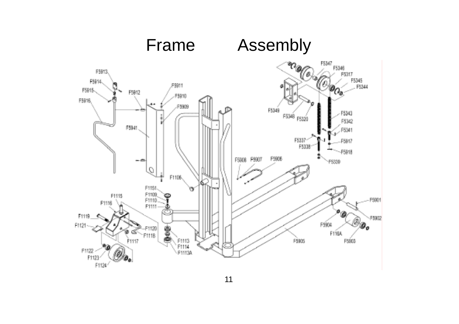

11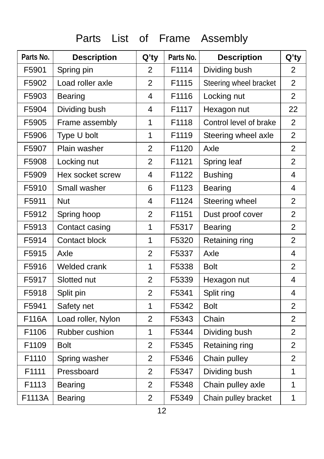Parts List of Frame Assembly

| Parts No. | <b>Description</b> | Q'ty           | Parts No. | <b>Description</b>     | Q'ty                    |
|-----------|--------------------|----------------|-----------|------------------------|-------------------------|
| F5901     | Spring pin         | $\overline{2}$ | F1114     | Dividing bush          | $\overline{2}$          |
| F5902     | Load roller axle   | $\overline{2}$ | F1115     | Steering wheel bracket | $\overline{2}$          |
| F5903     | Bearing            | 4              | F1116     | Locking nut            | $\overline{2}$          |
| F5904     | Dividing bush      | 4              | F1117     | Hexagon nut            | 22                      |
| F5905     | Frame assembly     | 1              | F1118     | Control level of brake | $\overline{2}$          |
| F5906     | Type U bolt        | $\mathbf 1$    | F1119     | Steering wheel axle    | $\overline{2}$          |
| F5907     | Plain washer       | $\overline{2}$ | F1120     | Axle                   | $\overline{2}$          |
| F5908     | Locking nut        | $\overline{2}$ | F1121     | Spring leaf            | $\overline{2}$          |
| F5909     | Hex socket screw   | 4              | F1122     | <b>Bushing</b>         | $\overline{\mathbf{4}}$ |
| F5910     | Small washer       | 6              | F1123     | <b>Bearing</b>         | 4                       |
| F5911     | <b>Nut</b>         | 4              | F1124     | Steering wheel         | $\overline{2}$          |
| F5912     | Spring hoop        | $\overline{2}$ | F1151     | Dust proof cover       | $\overline{2}$          |
| F5913     | Contact casing     | $\mathbf 1$    | F5317     | Bearing                | $\overline{2}$          |
| F5914     | Contact block      | $\mathbf 1$    | F5320     | Retaining ring         | $\overline{2}$          |
| F5915     | Axle               | $\overline{2}$ | F5337     | Axle                   | $\overline{4}$          |
| F5916     | Welded crank       | 1              | F5338     | <b>Bolt</b>            | $\overline{2}$          |
| F5917     | Slotted nut        | $\overline{2}$ | F5339     | Hexagon nut            | $\overline{4}$          |
| F5918     | Split pin          | $\overline{2}$ | F5341     | Split ring             | 4                       |
| F5941     | Safety net         | $\mathbf 1$    | F5342     | <b>Bolt</b>            | $\overline{2}$          |
| F116A     | Load roller, Nylon | $\overline{2}$ | F5343     | Chain                  | $\overline{2}$          |
| F1106     | Rubber cushion     | 1              | F5344     | Dividing bush          | $\overline{2}$          |
| F1109     | <b>Bolt</b>        | $\overline{2}$ | F5345     | Retaining ring         | $\overline{2}$          |
| F1110     | Spring washer      | $\overline{2}$ | F5346     | Chain pulley           | $\overline{2}$          |
| F1111     | Pressboard         | $\overline{2}$ | F5347     | Dividing bush          | $\mathbf{1}$            |
| F1113     | Bearing            | $\overline{2}$ | F5348     | Chain pulley axle      | $\overline{1}$          |
| F1113A    | Bearing            | $\overline{2}$ | F5349     | Chain pulley bracket   | $\mathbf 1$             |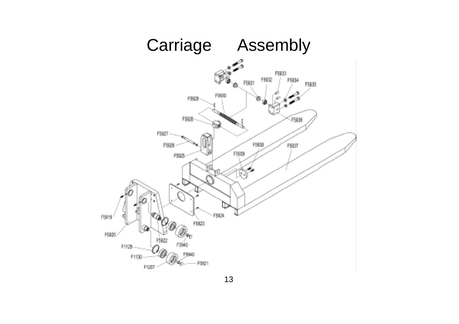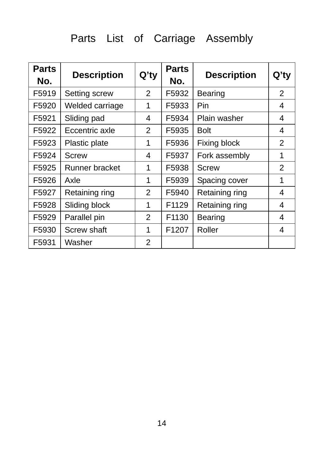# Parts List of Carriage Assembly

| <b>Parts</b><br>No. | <b>Description</b> | $Q'$ ty        | <b>Parts</b><br>No. | <b>Description</b> | $Q'$ ty        |
|---------------------|--------------------|----------------|---------------------|--------------------|----------------|
| F5919               | Setting screw      | $\overline{2}$ | F5932               | Bearing            | $\overline{2}$ |
| F5920               | Welded carriage    | 1              | F5933               | Pin                | 4              |
| F5921               | Sliding pad        | 4              | F5934               | Plain washer       | 4              |
| F5922               | Eccentric axle     | $\overline{2}$ | F5935               | <b>Bolt</b>        | 4              |
| F5923               | Plastic plate      | 1              | F5936               | Fixing block       | $\overline{2}$ |
| F5924               | <b>Screw</b>       | 4              | F5937               | Fork assembly      | 1              |
| F5925               | Runner bracket     | 1              | F5938               | <b>Screw</b>       | $\overline{2}$ |
| F5926               | Axle               | 1              | F5939               | Spacing cover      | 1              |
| F5927               | Retaining ring     | 2              | F5940               | Retaining ring     | 4              |
| F5928               | Sliding block      | 1              | F1129               | Retaining ring     | 4              |
| F5929               | Parallel pin       | $\overline{2}$ | F1130               | <b>Bearing</b>     | 4              |
| F5930               | Screw shaft        | 1              | F1207               | Roller             | 4              |
| F5931               | Washer             | 2              |                     |                    |                |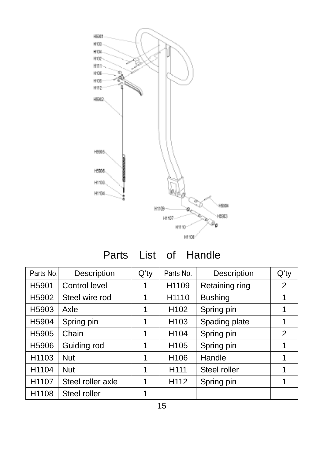

## Parts List of Handle

| Parts No.         | Description       | $Q'$ ty | Parts No.         | Description    | $Q'$ ty |
|-------------------|-------------------|---------|-------------------|----------------|---------|
| H5901             | Control level     | 1       | H1109             | Retaining ring | 2       |
| H5902             | Steel wire rod    | 1       | H <sub>1110</sub> | <b>Bushing</b> |         |
| H <sub>5903</sub> | Axle              | 1       | H <sub>102</sub>  | Spring pin     |         |
| H5904             | Spring pin        | 1       | H <sub>103</sub>  | Spading plate  | 1       |
| H <sub>5905</sub> | Chain             | 1       | H <sub>104</sub>  | Spring pin     | 2       |
| H5906             | Guiding rod       | 1       | H <sub>105</sub>  | Spring pin     | 1       |
| H1103             | <b>Nut</b>        | 1       | H <sub>106</sub>  | Handle         | 1       |
| H1104             | <b>Nut</b>        | 1       | H <sub>111</sub>  | Steel roller   |         |
| H1107             | Steel roller axle | 1       | H <sub>112</sub>  | Spring pin     |         |
| H1108             | Steel roller      | 1       |                   |                |         |